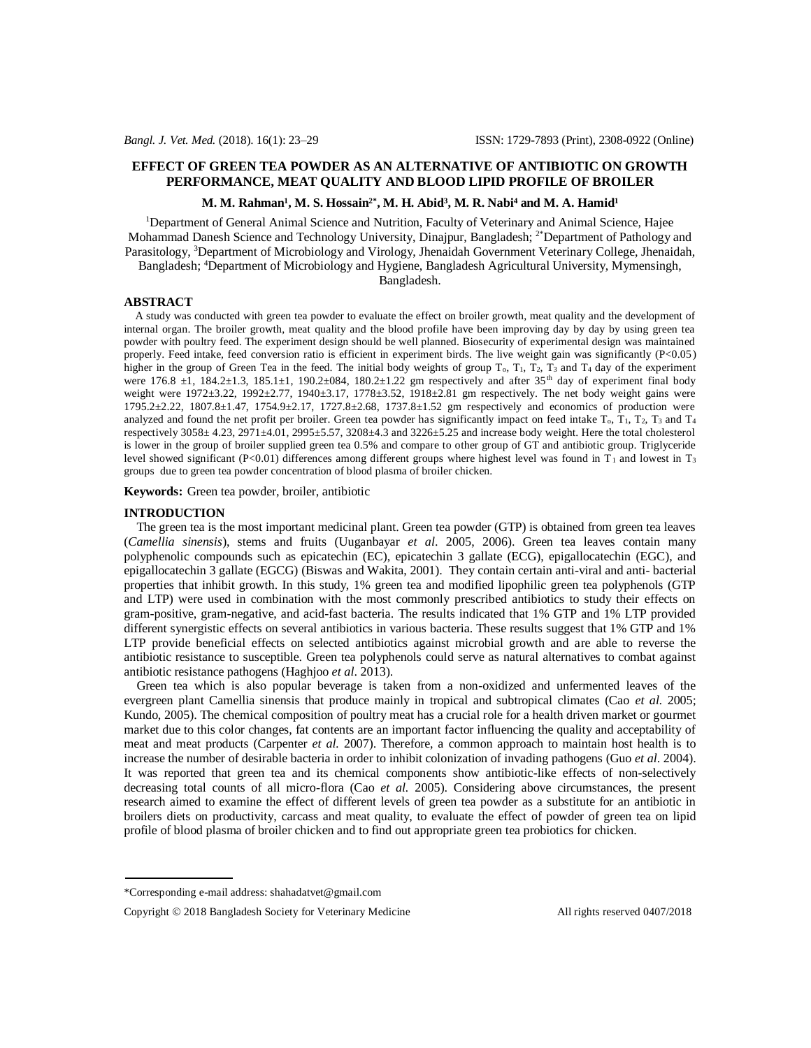# **EFFECT OF GREEN TEA POWDER AS AN ALTERNATIVE OF ANTIBIOTIC ON GROWTH PERFORMANCE, MEAT QUALITY AND BLOOD LIPID PROFILE OF BROILER**

### **M. M. Rahman<sup>1</sup> , M. S. Hossain2\*, M. H. Abid<sup>3</sup> , M. R. Nabi<sup>4</sup> and M. A. Hamid<sup>1</sup>**

<sup>1</sup>Department of General Animal Science and Nutrition, Faculty of Veterinary and Animal Science, Hajee Mohammad Danesh Science and Technology University, Dinajpur, Bangladesh; <sup>2\*</sup>Department of Pathology and Parasitology, <sup>3</sup>Department of Microbiology and Virology, Jhenaidah Government Veterinary College, Jhenaidah, Bangladesh; <sup>4</sup>Department of Microbiology and Hygiene, Bangladesh Agricultural University, Mymensingh,

Bangladesh.

#### **ABSTRACT**

 A study was conducted with green tea powder to evaluate the effect on broiler growth, meat quality and the development of internal organ. The broiler growth, meat quality and the blood profile have been improving day by day by using green tea powder with poultry feed. The experiment design should be well planned. Biosecurity of experimental design was maintained properly. Feed intake, feed conversion ratio is efficient in experiment birds. The live weight gain was significantly (P<0.05) higher in the group of Green Tea in the feed. The initial body weights of group  $T_0$ ,  $T_1$ ,  $T_2$ ,  $T_3$  and  $T_4$  day of the experiment were 176.8  $\pm$ 1, 184.2 $\pm$ 1.3, 185.1 $\pm$ 1, 190.2 $\pm$ 084, 180.2 $\pm$ 1.22 gm respectively and after 35<sup>th</sup> day of experiment final body weight were 1972±3.22, 1992±2.77, 1940±3.17, 1778±3.52, 1918±2.81 gm respectively. The net body weight gains were 1795.2±2.22, 1807.8±1.47, 1754.9±2.17, 1727.8±2.68, 1737.8±1.52 gm respectively and economics of production were analyzed and found the net profit per broiler. Green tea powder has significantly impact on feed intake  $T_0$ ,  $T_1$ ,  $T_2$ ,  $T_3$  and  $T_4$ respectively 3058± 4.23, 2971±4.01, 2995±5.57, 3208±4.3 and 3226±5.25 and increase body weight. Here the total cholesterol is lower in the group of broiler supplied green tea 0.5% and compare to other group of GT and antibiotic group. Triglyceride level showed significant (P<0.01) differences among different groups where highest level was found in  $T_1$  and lowest in T<sub>3</sub> groups due to green tea powder concentration of blood plasma of broiler chicken.

**Keywords:** Green tea powder, broiler, antibiotic

# **INTRODUCTION**

 The green tea is the most important medicinal plant. Green tea powder (GTP) is obtained from green tea leaves (*Camellia sinensis*), stems and fruits (Uuganbayar *et al*. 2005, 2006). Green tea leaves contain many polyphenolic compounds such as epicatechin (EC), epicatechin 3 gallate (ECG), epigallocatechin (EGC), and epigallocatechin 3 gallate (EGCG) (Biswas and Wakita, 2001). They contain certain anti-viral and anti- bacterial properties that inhibit growth. In this study, 1% green tea and modified lipophilic green tea polyphenols (GTP and LTP) were used in combination with the most commonly prescribed antibiotics to study their effects on gram-positive, gram-negative, and acid-fast bacteria. The results indicated that 1% GTP and 1% LTP provided different synergistic effects on several antibiotics in various bacteria. These results suggest that 1% GTP and 1% LTP provide beneficial effects on selected antibiotics against microbial growth and are able to reverse the antibiotic resistance to susceptible. Green tea polyphenols could serve as natural alternatives to combat against antibiotic resistance pathogens (Haghjoo *et al*. 2013).

 Green tea which is also popular beverage is taken from a non-oxidized and unfermented leaves of the evergreen plant Camellia sinensis that produce mainly in tropical and subtropical climates (Cao *et al.* 2005; Kundo, 2005). The chemical composition of poultry meat has a crucial role for a health driven market or gourmet market due to this color changes, fat contents are an important factor influencing the quality and acceptability of meat and meat products (Carpenter *et al.* 2007). Therefore, a common approach to maintain host health is to increase the number of desirable bacteria in order to inhibit colonization of invading pathogens (Guo *et al*. 2004). It was reported that green tea and its chemical components show antibiotic-like effects of non-selectively decreasing total counts of all micro-flora (Cao *et al.* 2005). Considering above circumstances, the present research aimed to examine the effect of different levels of green tea powder as a substitute for an antibiotic in broilers diets on productivity, carcass and meat quality, to evaluate the effect of powder of green tea on lipid profile of blood plasma of broiler chicken and to find out appropriate green tea probiotics for chicken.

<sup>\*</sup>Corresponding e-mail address: [shahadatvet@gmail.com](mailto:shahadatvet@gmail.com)

Copyright © 2018 Bangladesh Society for Veterinary Medicine All rights reserved 0407/2018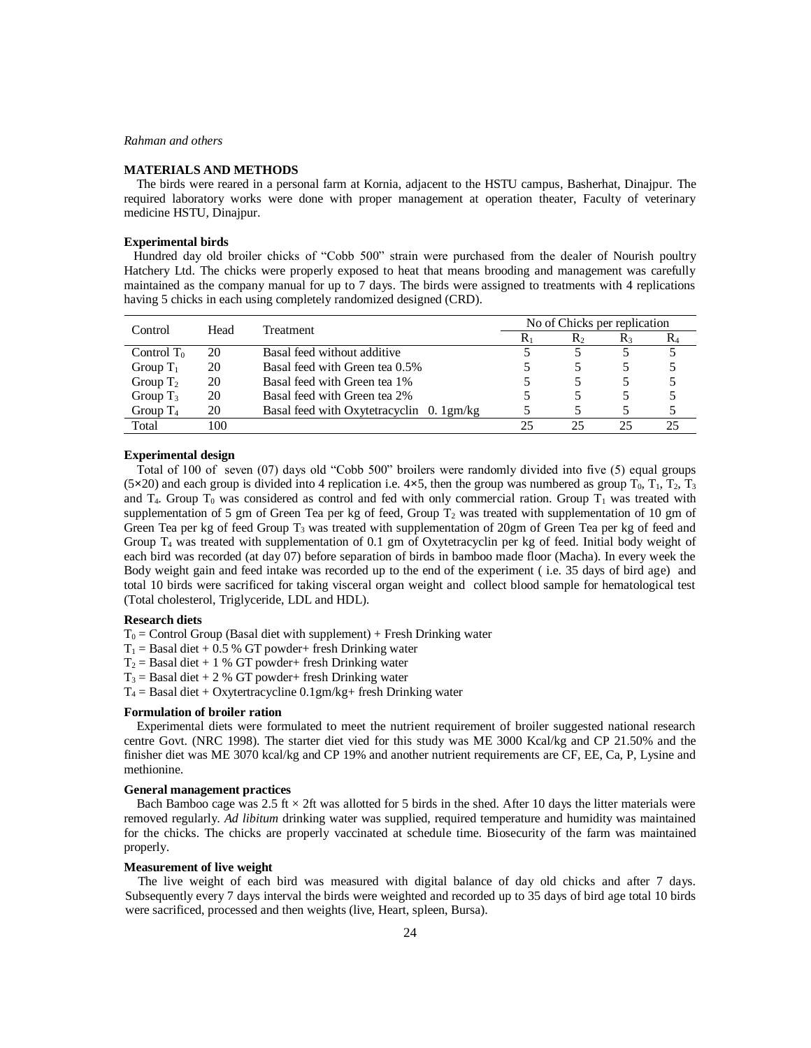# *Rahman and others*

### **MATERIALS AND METHODS**

 The birds were reared in a personal farm at Kornia, adjacent to the HSTU campus, Basherhat, Dinajpur. The required laboratory works were done with proper management at operation theater, Faculty of veterinary medicine HSTU, Dinajpur.

# **Experimental birds**

Hundred day old broiler chicks of "Cobb 500" strain were purchased from the dealer of Nourish poultry Hatchery Ltd. The chicks were properly exposed to heat that means brooding and management was carefully maintained as the company manual for up to 7 days. The birds were assigned to treatments with 4 replications having 5 chicks in each using completely randomized designed (CRD).

| Control       | Head | Treatment                                | No of Chicks per replication |                  |       |       |  |
|---------------|------|------------------------------------------|------------------------------|------------------|-------|-------|--|
|               |      |                                          | $R_1$                        | $\mathbf{R}_{2}$ | $R_3$ | $R_4$ |  |
| Control $T_0$ | 20   | Basal feed without additive              |                              |                  |       |       |  |
| Group $T_1$   | 20   | Basal feed with Green tea 0.5%           |                              |                  |       |       |  |
| Group $T_2$   | 20   | Basal feed with Green tea 1%             |                              |                  |       |       |  |
| Group $T_3$   | 20   | Basal feed with Green tea 2%             |                              |                  |       |       |  |
| Group $T_4$   | 20   | Basal feed with Oxytetracyclin 0. 1gm/kg |                              |                  |       |       |  |
| Total         | 100  |                                          |                              | 25               | つう    | 25    |  |

### **Experimental design**

 Total of 100 of seven (07) days old "Cobb 500" broilers were randomly divided into five (5) equal groups (5 $\times$ 20) and each group is divided into 4 replication i.e.  $4\times$ 5, then the group was numbered as group T<sub>0</sub>, T<sub>1</sub>, T<sub>2</sub>, T<sub>3</sub> and  $T_4$ . Group  $T_0$  was considered as control and fed with only commercial ration. Group  $T_1$  was treated with supplementation of 5 gm of Green Tea per kg of feed, Group  $T_2$  was treated with supplementation of 10 gm of Green Tea per kg of feed Group  $T_3$  was treated with supplementation of 20gm of Green Tea per kg of feed and Group  $T_4$  was treated with supplementation of 0.1 gm of Oxytetracyclin per kg of feed. Initial body weight of each bird was recorded (at day 07) before separation of birds in bamboo made floor (Macha). In every week the Body weight gain and feed intake was recorded up to the end of the experiment ( i.e. 35 days of bird age) and total 10 birds were sacrificed for taking visceral organ weight and collect blood sample for hematological test (Total cholesterol, Triglyceride, LDL and HDL).

#### **Research diets**

 $T_0$  = Control Group (Basal diet with supplement) + Fresh Drinking water

 $T_1$  = Basal diet + 0.5 % GT powder+ fresh Drinking water

- $T_2$  = Basal diet + 1 % GT powder+ fresh Drinking water
- $T_3$  = Basal diet + 2 % GT powder+ fresh Drinking water
- $T_4$  = Basal diet + Oxytertracycline 0.1gm/kg+ fresh Drinking water

# **Formulation of broiler ration**

 Experimental diets were formulated to meet the nutrient requirement of broiler suggested national research centre Govt. (NRC 1998). The starter diet vied for this study was ME 3000 Kcal/kg and CP 21.50% and the finisher diet was ME 3070 kcal/kg and CP 19% and another nutrient requirements are CF, EE, Ca, P, Lysine and methionine.

## **General management practices**

Bach Bamboo cage was 2.5 ft  $\times$  2ft was allotted for 5 birds in the shed. After 10 days the litter materials were removed regularly. *Ad libitum* drinking water was supplied, required temperature and humidity was maintained for the chicks. The chicks are properly vaccinated at schedule time. Biosecurity of the farm was maintained properly.

# **Measurement of live weight**

 The live weight of each bird was measured with digital balance of day old chicks and after 7 days. Subsequently every 7 days interval the birds were weighted and recorded up to 35 days of bird age total 10 birds were sacrificed, processed and then weights (live, Heart, spleen, Bursa).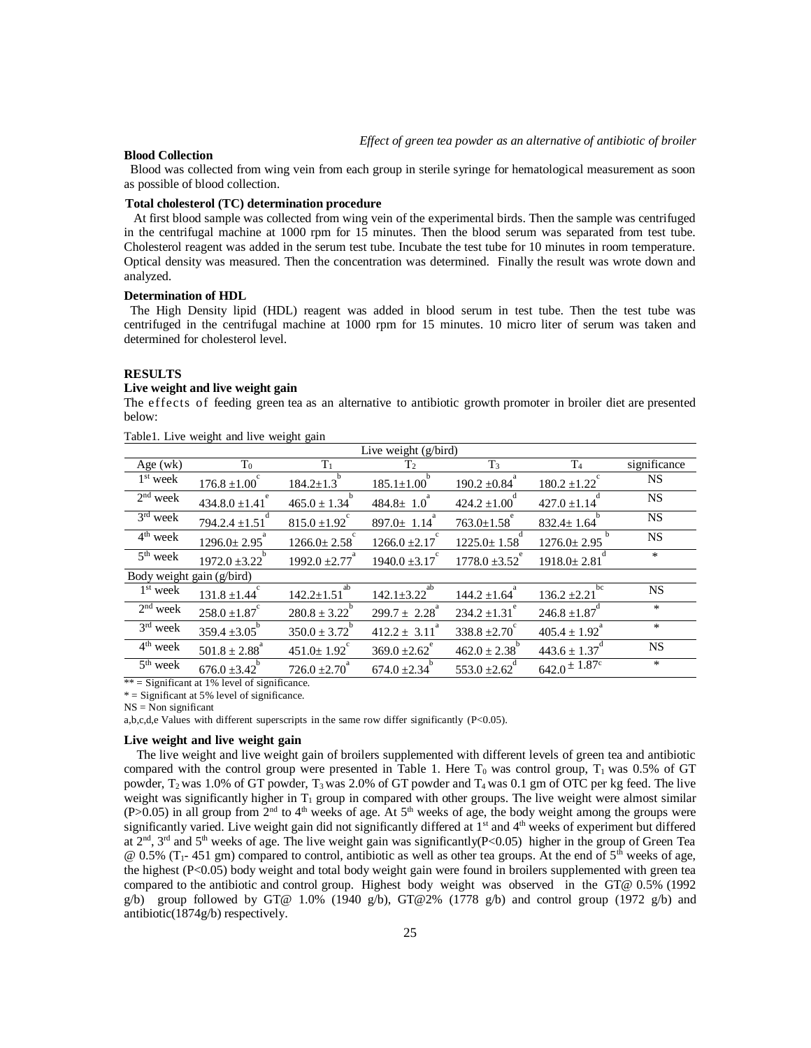# **Blood Collection**

Blood was collected from wing vein from each group in sterile syringe for hematological measurement as soon as possible of blood collection.

## **Total cholesterol (TC) determination procedure**

 At first blood sample was collected from wing vein of the experimental birds. Then the sample was centrifuged in the centrifugal machine at 1000 rpm for 15 minutes. Then the blood serum was separated from test tube. Cholesterol reagent was added in the serum test tube. Incubate the test tube for 10 minutes in room temperature. Optical density was measured. Then the concentration was determined. Finally the result was wrote down and analyzed.

# **Determination of HDL**

The High Density lipid (HDL) reagent was added in blood serum in test tube. Then the test tube was centrifuged in the centrifugal machine at 1000 rpm for 15 minutes. 10 micro liter of serum was taken and determined for cholesterol level.

#### **RESULTS**

# **Live weight and live weight gain**

The effects of feeding green tea as an alternative to antibiotic growth promoter in broiler diet are presented below:

| Live weight $(g/bird)$    |                    |                        |                        |                   |                               |              |  |
|---------------------------|--------------------|------------------------|------------------------|-------------------|-------------------------------|--------------|--|
| Age $(wk)$                | $T_0$              | $T_1$                  | Т2                     | $T_3$             | T <sub>4</sub>                | significance |  |
| 1 <sup>st</sup> week      | $176.8 \pm 1.00$   | $184.2 \pm 1.3$        | $185.1 \pm 1.00$       | $190.2 \pm 0.84$  | $180.2 \pm 1.22$              | <b>NS</b>    |  |
| $2nd$ week                | $434.8.0 \pm 1.41$ | $465.0 \pm 1.34$       | $484.8 \pm 1.0$        | $424.2 \pm 1.00$  | $427.0 \pm 1.14$              | <b>NS</b>    |  |
| $3rd$ week                | $794.2.4 \pm 1.51$ | $815.0 \pm 1.92$       | $897.0 \pm 1.14$       | $763.0 \pm 1.58$  | $832.4 \pm 1.64$              | <b>NS</b>    |  |
| $4th$ week                | $1296.0 \pm 2.95$  | $1266.0 \pm 2.58$      | $1266.0 \pm 2.17$      | $1225.0 \pm 1.58$ | $1276.0 \pm 2.95$             | <b>NS</b>    |  |
| $5th$ week                | $1972.0 \pm 3.22$  | $1992.0 \pm 2.77$      | $1940.0 \pm 3.17$      | $1778.0 \pm 3.52$ | $1918.0 \pm 2.81$             | *            |  |
| Body weight gain (g/bird) |                    |                        |                        |                   |                               |              |  |
| $1st$ week                | $131.8 \pm 1.44$   | ab<br>$142.2 \pm 1.51$ | ab<br>$142.1 \pm 3.22$ | $144.2 \pm 1.64$  | bc<br>$136.2 \pm 2.21$        | <b>NS</b>    |  |
| $2nd$ week                | $258.0 \pm 1.87$   | $280.8 \pm 3.22$       | $299.7 \pm 2.28$       | $234.2 \pm 1.31$  | $246.8 \pm 1.87$              | $\ast$       |  |
| $3rd$ week                | $359.4 \pm 3.05$   | $350.0 \pm 3.72$       | $412.2 \pm 3.11$       | $338.8 \pm 2.70$  | $405.4 \pm 1.92$ <sup>a</sup> | $\ast$       |  |
| $4th$ week                | $501.8 \pm 2.88$   | $451.0 \pm 1.92$       | $369.0 \pm 2.62$       | $462.0 \pm 2.38$  | $443.6 \pm 1.37$              | <b>NS</b>    |  |
| 5 <sup>th</sup> week      | $676.0 \pm 3.42$   | $726.0 \pm 2.70$       | $674.0 \pm 2.34$       | $553.0 \pm 2.62$  | $642.0 \pm 1.87$ c            | $\ast$       |  |

Table1. Live weight and live weight gain

 $** =$  Significant at 1% level of significance.

 $* =$  Significant at 5% level of significance.

a,b,c,d,e Values with different superscripts in the same row differ significantly (P<0.05).

## **Live weight and live weight gain**

 The live weight and live weight gain of broilers supplemented with different levels of green tea and antibiotic compared with the control group were presented in Table 1. Here  $T_0$  was control group,  $T_1$  was 0.5% of GT powder,  $T_2$  was 1.0% of GT powder,  $T_3$  was 2.0% of GT powder and  $T_4$  was 0.1 gm of OTC per kg feed. The live weight was significantly higher in  $T_1$  group in compared with other groups. The live weight were almost similar  $(P>0.05)$  in all group from 2<sup>nd</sup> to 4<sup>th</sup> weeks of age. At 5<sup>th</sup> weeks of age, the body weight among the groups were significantly varied. Live weight gain did not significantly differed at  $1<sup>st</sup>$  and  $4<sup>th</sup>$  weeks of experiment but differed at  $2<sup>nd</sup>$ ,  $3<sup>rd</sup>$  and  $5<sup>th</sup>$  weeks of age. The live weight gain was significantly(P<0.05) higher in the group of Green Tea  $\omega$  0.5% (T<sub>1</sub>-451 gm) compared to control, antibiotic as well as other tea groups. At the end of 5<sup>th</sup> weeks of age, the highest (P<0.05) body weight and total body weight gain were found in broilers supplemented with green tea compared to the antibiotic and control group. Highest body weight was observed in the GT@ 0.5% (1992 g/b) group followed by GT@ 1.0% (1940 g/b), GT@2% (1778 g/b) and control group (1972 g/b) and antibiotic(1874g/b) respectively.

 $NS = Non$  significant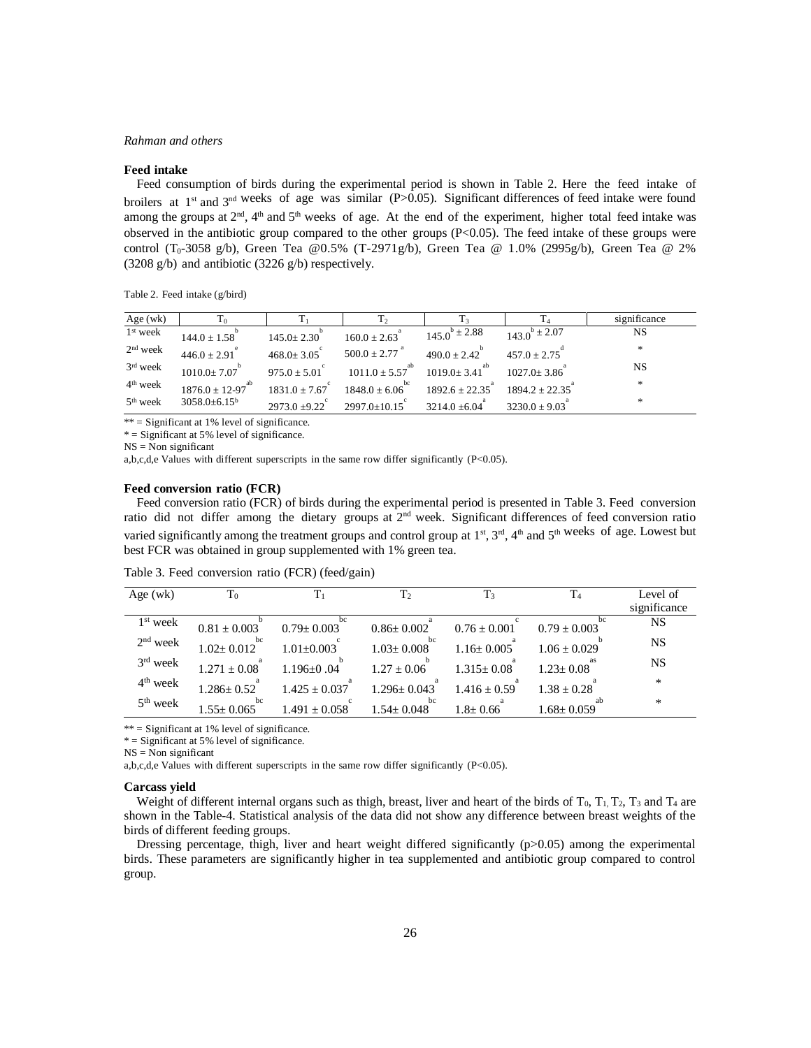## *Rahman and others*

#### **Feed intake**

 Feed consumption of birds during the experimental period is shown in Table 2. Here the feed intake of broilers at 1<sup>st</sup> and 3<sup>nd weeks of age was similar (P>0.05). Significant differences of feed intake were found</sup> among the groups at  $2^{nd}$ ,  $4^{th}$  and  $5^{th}$  weeks of age. At the end of the experiment, higher total feed intake was observed in the antibiotic group compared to the other groups (P<0.05). The feed intake of these groups were control (T<sub>0</sub>-3058 g/b), Green Tea @0.5% (T-2971g/b), Green Tea @ 1.0% (2995g/b), Green Tea @ 2% (3208 g/b) and antibiotic (3226 g/b) respectively.

Table 2. Feed intake (g/bird)

| Age $(wk)$           |                    |                  |                       |                      |                      | significance |
|----------------------|--------------------|------------------|-----------------------|----------------------|----------------------|--------------|
| 1 <sup>st</sup> week | $144.0 \pm 1.58$   | $145.0 \pm 2.30$ | $160.0 \pm 2.63$      | $145.0^{b} \pm 2.88$ | $143.0^{b} \pm 2.07$ | NS           |
| $2nd$ week           | $446.0 + 2.91$     | $468.0 \pm 3.05$ | $500.0 \pm 2.77$      | $490.0 + 2.42$       | $457.0 + 2.75$       | $\star$      |
| 3 <sup>rd</sup> week | $1010.0+7.07$      | $975.0 + 5.01$   | $1011.0 + 5.57$       | $1019.0 + 3.41$      | $1027.0 + 3.86$      | <b>NS</b>    |
| 4 <sup>th</sup> week | $1876.0 \pm 12-97$ | $18310 + 767$    | bc<br>$1848.0 + 6.06$ | $1892.6 + 22.35$     | $18942 + 2235$       | $*$          |
| $5th$ week           | $3058.0 + 6.15^b$  | $2973.0 + 9.22$  | $2997.0 + 10.15$      | $3214.0 + 6.04$      | $3230.0 + 9.03$      | $\star$      |

 $**$  = Significant at 1% level of significance.

 $*$  = Significant at 5% level of significance.

 $NS = Non$  significant

a,b,c,d,e Values with different superscripts in the same row differ significantly (P<0.05).

# **Feed conversion ratio (FCR)**

 Feed conversion ratio (FCR) of birds during the experimental period is presented in Table 3. Feed conversion ratio did not differ among the dietary groups at  $2<sup>nd</sup>$  week. Significant differences of feed conversion ratio varied significantly among the treatment groups and control group at 1<sup>st</sup>, 3<sup>rd</sup>, 4<sup>th</sup> and 5<sup>th weeks of age. Lowest but</sup> best FCR was obtained in group supplemented with 1% green tea.

| Age $(wk)$ | $T_0$                | $T_1$                | T <sub>2</sub>       | $T_3$            |                      | Level of     |
|------------|----------------------|----------------------|----------------------|------------------|----------------------|--------------|
|            |                      |                      |                      |                  |                      | significance |
| $1st$ week | $0.81 + 0.003$       | bc<br>$0.79 + 0.003$ | $0.86 + 0.002$       | $0.76 + 0.001$   | bc<br>$0.79 + 0.003$ | NS           |
| $2nd$ week | bc<br>$1.02 + 0.012$ | $1.01 + 0.003$       | bc<br>$1.03 + 0.008$ | $1.16 \pm 0.005$ | $1.06 \pm 0.029$     | <b>NS</b>    |
| $3rd$ week | $1.271 + 0.08$       | $1.196 + 0.04$       | $1.27 + 0.06$        | $1.315 + 0.08$   | $1.23 + 0.08$        | <b>NS</b>    |
| $4th$ week | $1.286 + 0.52$       | $1.425 + 0.037$      | $1.296 + 0.043$      | $1.416 + 0.59$   | $1.38 + 0.28$        | *            |
| $5th$ week | bc<br>$1.55+0.065$   | $1.491 + 0.058$      | bc<br>$1.54 + 0.048$ | $1.8 + 0.66$     | $1.68 + 0.059$       | *            |

Table 3. Feed conversion ratio (FCR) (feed/gain)

\*\* = Significant at 1% level of significance.

 $* =$  Significant at 5% level of significance.

 $NS = Non$  significant

a,b,c,d,e Values with different superscripts in the same row differ significantly (P<0.05).

## **Carcass yield**

Weight of different internal organs such as thigh, breast, liver and heart of the birds of  $T_0$ ,  $T_1$ ,  $T_2$ ,  $T_3$  and  $T_4$  are shown in the Table-4. Statistical analysis of the data did not show any difference between breast weights of the birds of different feeding groups.

Dressing percentage, thigh, liver and heart weight differed significantly  $(p>0.05)$  among the experimental birds. These parameters are significantly higher in tea supplemented and antibiotic group compared to control group.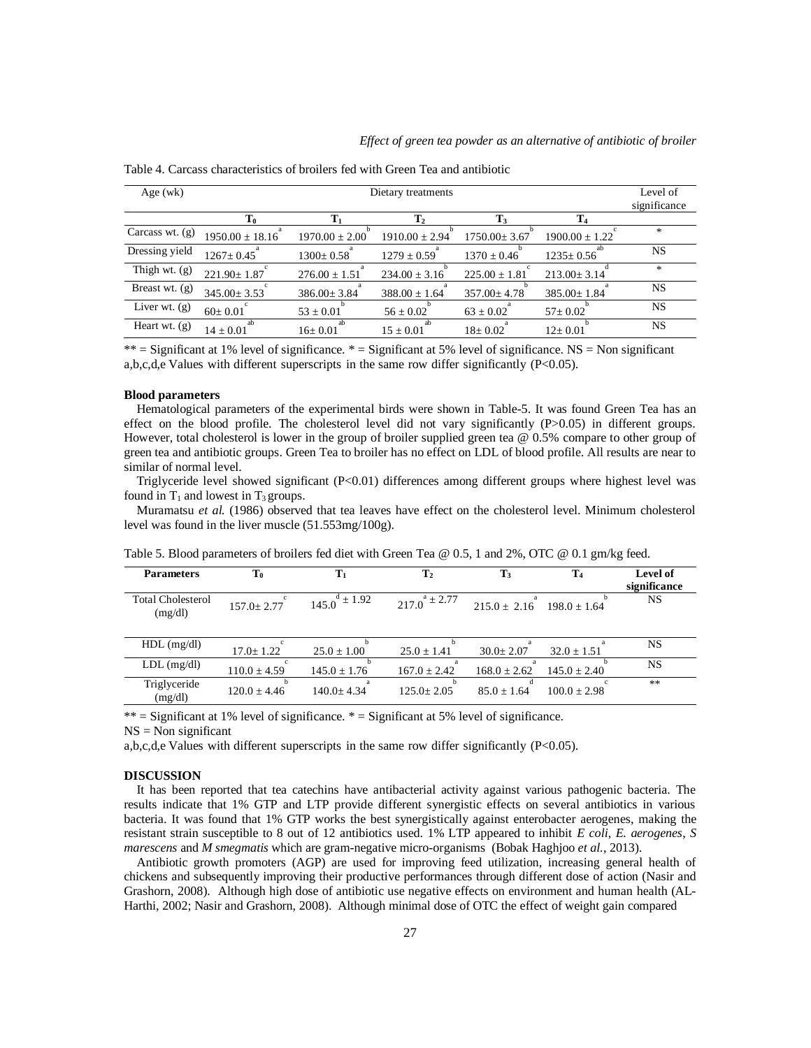| Age $(wk)$        | Dietary treatments  |                    |                    |                    |                    |              |
|-------------------|---------------------|--------------------|--------------------|--------------------|--------------------|--------------|
|                   |                     |                    |                    |                    |                    | significance |
|                   | $T_0$               |                    | $\mathbf{T}_2$     | $\mathbf{T}_3$     | $\mathbf{T}_4$     |              |
| Carcass wt. $(g)$ | $1950.00 \pm 18.16$ | $1970.00 \pm 2.00$ | $1910.00 \pm 2.94$ | $1750.00 \pm 3.67$ | $1900.00 \pm 1.22$ | *            |
| Dressing yield    | $1267 \pm 0.45$     | $1300 \pm 0.58$    | $1279 \pm 0.59$    | $1370 \pm 0.46$    | $1235 \pm 0.56$    | <b>NS</b>    |
| Thigh wt. (g)     | $221.90 \pm 1.87$   | $276.00 \pm 1.51$  | $234.00 \pm 3.16$  | $225.00 \pm 1.81$  | $213.00 \pm 3.14$  | $\ast$       |
| Breast wt. (g)    | $345.00 \pm 3.53$   | $386.00 \pm 3.84$  | $388.00 \pm 1.64$  | $357.00 \pm 4.78$  | $385.00 \pm 1.84$  | <b>NS</b>    |
| Liver wt. (g)     | $60 \pm 0.01$       | $53 \pm 0.01$      | $56 \pm 0.02$      | $63 \pm 0.02$      | $57 \pm 0.02$      | <b>NS</b>    |
| Heart wt. (g)     | $14 + 0.01$         | $16 \pm 0.01$      | $15 \pm 0.01$      | $18 + 0.02$        | $12 \pm 0.01$      | <b>NS</b>    |
|                   |                     |                    |                    |                    |                    |              |

Table 4. Carcass characteristics of broilers fed with Green Tea and antibiotic

\*\* = Significant at 1% level of significance. \* = Significant at 5% level of significance. NS = Non significant a,b,c,d,e Values with different superscripts in the same row differ significantly (P<0.05).

## **Blood parameters**

 Hematological parameters of the experimental birds were shown in Table-5. It was found Green Tea has an effect on the blood profile. The cholesterol level did not vary significantly (P>0.05) in different groups. However, total cholesterol is lower in the group of broiler supplied green tea @ 0.5% compare to other group of green tea and antibiotic groups. Green Tea to broiler has no effect on LDL of blood profile. All results are near to similar of normal level.

Triglyceride level showed significant (P<0.01) differences among different groups where highest level was found in  $T_1$  and lowest in  $T_3$  groups.

 Muramatsu *et al.* (1986) observed that tea leaves have effect on the cholesterol level. Minimum cholesterol level was found in the liver muscle (51.553mg/100g).

| <b>Parameters</b>                   | $\mathbf{T}_0$   | $\mathbf{T}_1$       | $\mathbf{T}_2$       | $\mathbf{T}_3$   | $\mathbf{T}_4$   | Level of<br>significance |
|-------------------------------------|------------------|----------------------|----------------------|------------------|------------------|--------------------------|
| <b>Total Cholesterol</b><br>(mg/dl) | $157.0 + 2.77$   | $145.0^{d} \pm 1.92$ | $217.0^{a} \pm 2.77$ | $215.0 + 2.16$   | $198.0 + 1.64$   | NS                       |
| $HDL$ (mg/dl)                       | $17.0 \pm 1.22$  | $25.0 \pm 1.00$      | $25.0 \pm 1.41$      | $30.0 \pm 2.07$  | $32.0 \pm 1.51$  | NS                       |
| $LDL$ (mg/dl)                       | $110.0 \pm 4.59$ | $145.0 \pm 1.76$     | $167.0 \pm 2.42$     | $168.0 \pm 2.62$ | $145.0 \pm 2.40$ | <b>NS</b>                |
| Triglyceride<br>(mg/dl)             | $120.0 \pm 4.46$ | $140.0 + 4.34$       | $125.0 + 2.05$       | $85.0 \pm 1.64$  | $100.0 + 2.98$   | $**$                     |

Table 5. Blood parameters of broilers fed diet with Green Tea @ 0.5, 1 and 2%, OTC @ 0.1 gm/kg feed.

 $**$  = Significant at 1% level of significance.  $*$  = Significant at 5% level of significance.

 $NS = Non$  significant

a,b,c,d,e Values with different superscripts in the same row differ significantly  $(P<0.05)$ .

#### **DISCUSSION**

 It has been reported that tea catechins have antibacterial activity against various pathogenic bacteria. The results indicate that 1% GTP and LTP provide different synergistic effects on several antibiotics in various bacteria. It was found that 1% GTP works the best synergistically against enterobacter aerogenes, making the resistant strain susceptible to 8 out of 12 antibiotics used. 1% LTP appeared to inhibit *E coli*, *E. aerogenes*, *S marescens* and *M smegmatis* which are gram-negative micro-organisms (Bobak Haghjoo *et al.*, 2013).

 Antibiotic growth promoters (AGP) are used for improving feed utilization, increasing general health of chickens and subsequently improving their productive performances through different dose of action (Nasir and Grashorn, 2008). Although high dose of antibiotic use negative effects on environment and human health (AL-Harthi, 2002; Nasir and Grashorn, 2008). Although minimal dose of OTC the effect of weight gain compared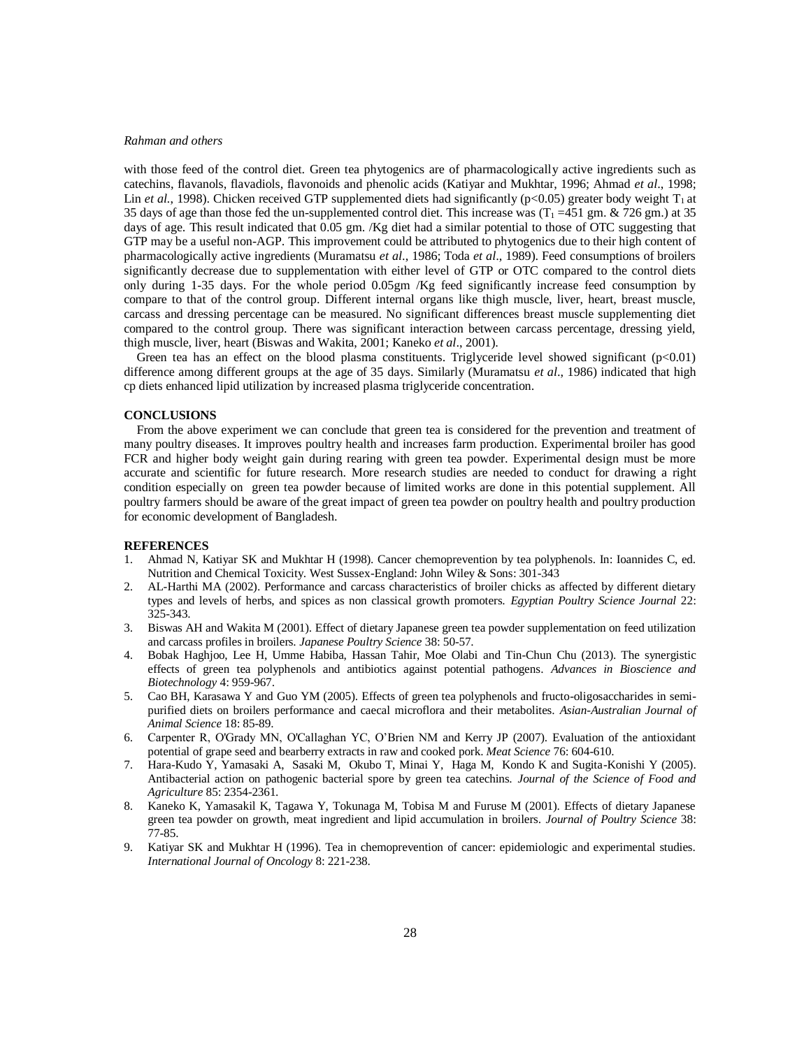## *Rahman and others*

with those feed of the control diet. Green tea phytogenics are of pharmacologically active ingredients such as catechins, flavanols, flavadiols, flavonoids and phenolic acids (Katiyar and Mukhtar, 1996; Ahmad *et al*., 1998; Lin *et al.*, 1998). Chicken received GTP supplemented diets had significantly ( $p<0.05$ ) greater body weight  $T_1$  at 35 days of age than those fed the un-supplemented control diet. This increase was  $(T_1 = 451 \text{ gm} \cdot \text{\&} 726 \text{ gm})$  at 35 days of age. This result indicated that 0.05 gm. /Kg diet had a similar potential to those of OTC suggesting that GTP may be a useful non-AGP. This improvement could be attributed to phytogenics due to their high content of pharmacologically active ingredients (Muramatsu *et al*., 1986; Toda *et al*., 1989). Feed consumptions of broilers significantly decrease due to supplementation with either level of GTP or OTC compared to the control diets only during 1-35 days. For the whole period 0.05gm /Kg feed significantly increase feed consumption by compare to that of the control group. Different internal organs like thigh muscle, liver, heart, breast muscle, carcass and dressing percentage can be measured. No significant differences breast muscle supplementing diet compared to the control group. There was significant interaction between carcass percentage, dressing yield, thigh muscle, liver, heart (Biswas and Wakita, 2001; Kaneko *et al*., 2001).

Green tea has an effect on the blood plasma constituents. Triglyceride level showed significant  $(p<0.01)$ difference among different groups at the age of 35 days. Similarly (Muramatsu *et al*., 1986) indicated that high cp diets enhanced lipid utilization by increased plasma triglyceride concentration.

# **CONCLUSIONS**

 From the above experiment we can conclude that green tea is considered for the prevention and treatment of many poultry diseases. It improves poultry health and increases farm production. Experimental broiler has good FCR and higher body weight gain during rearing with green tea powder. Experimental design must be more accurate and scientific for future research. More research studies are needed to conduct for drawing a right condition especially on green tea powder because of limited works are done in this potential supplement. All poultry farmers should be aware of the great impact of green tea powder on poultry health and poultry production for economic development of Bangladesh.

# **REFERENCES**

- 1. Ahmad N, Katiyar SK and Mukhtar H (1998). Cancer chemoprevention by tea polyphenols. In: Ioannides C, ed. Nutrition and Chemical Toxicity. West Sussex-England: John Wiley & Sons: 301-343
- 2. AL-Harthi MA (2002). Performance and carcass characteristics of broiler chicks as affected by different dietary types and levels of herbs, and spices as non classical growth promoters. *Egyptian Poultry Science Journal* 22: 325-343.
- 3. Biswas AH and Wakita M (2001). Effect of dietary Japanese green tea powder supplementation on feed utilization and carcass profiles in broilers. *Japanese Poultry Science* 38: 50-57.
- 4. Bobak Haghjoo, Lee H, Umme Habiba, Hassan Tahir, Moe Olabi and Tin-Chun Chu (2013). The synergistic effects of green tea polyphenols and antibiotics against potential pathogens. *Advances in Bioscience and Biotechnology* 4: 959-967.
- 5. Cao BH, Karasawa Y and Guo YM (2005). Effects of green tea polyphenols and fructo-oligosaccharides in semipurified diets on broilers performance and caecal microflora and their metabolites. *Asian-Australian Journal of Animal Science* 18: 85-89.
- 6. Carpenter R, O'Grady MN, O'Callaghan YC, O'Brien NM and Kerry JP (2007). Evaluation of the antioxidant potential of grape seed and bearberry extracts in raw and cooked pork. *Meat Science* 76: 604-610.
- 7. Hara-Kudo Y, Yamasaki A, Sasaki M, Okubo T, Minai Y, Haga M, Kondo K and Sugita-Konishi Y (2005). Antibacterial action on pathogenic bacterial spore by green tea catechins. *Journal of the Science of Food and Agriculture* 85: 2354-2361.
- 8. Kaneko K, Yamasakil K, Tagawa Y, Tokunaga M, Tobisa M and Furuse M (2001). Effects of dietary Japanese green tea powder on growth, meat ingredient and lipid accumulation in broilers. *Journal of Poultry Science* 38: 77-85.
- 9. Katiyar SK and Mukhtar H (1996). Tea in chemoprevention of cancer: epidemiologic and experimental studies. *International Journal of Oncology* 8: 221-238.